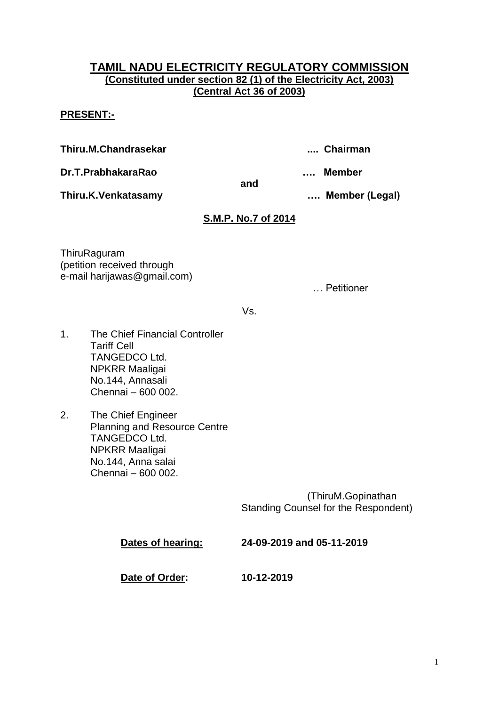## **TAMIL NADU ELECTRICITY REGULATORY COMMISSION (Constituted under section 82 (1) of the Electricity Act, 2003) (Central Act 36 of 2003)**

## **PRESENT:-**

**Thiru.M.Chandrasekar .... Chairman**

**Dr.T.PrabhakaraRao …. Member** 

**Thiru.K.Venkatasamy …. Member (Legal)**

# **S.M.P. No.7 of 2014**

**and**

**ThiruRaguram** (petition received through e-mail harijawas@gmail.com)

… Petitioner

Vs.

- 1. The Chief Financial Controller Tariff Cell TANGEDCO Ltd. NPKRR Maaligai No.144, Annasali Chennai – 600 002.
- 2. The Chief Engineer Planning and Resource Centre TANGEDCO Ltd. NPKRR Maaligai No.144, Anna salai Chennai – 600 002.

 (ThiruM.Gopinathan Standing Counsel for the Respondent)

| Dates of hearing: | 24-09-2019 and 05-11-2019 |
|-------------------|---------------------------|
| Date of Order:    | 10-12-2019                |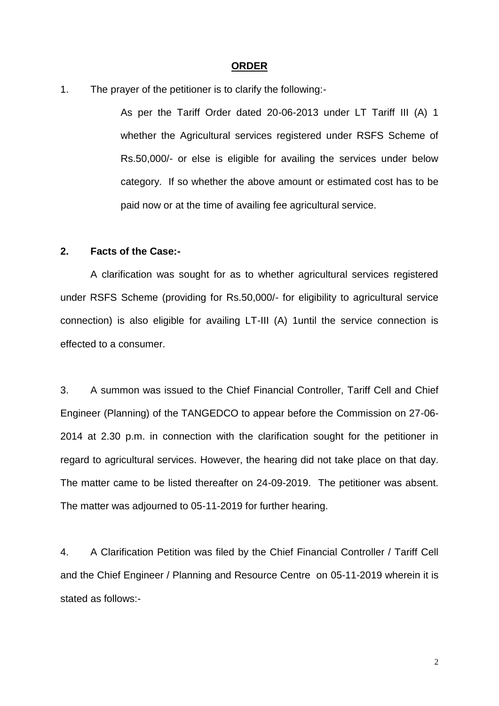#### **ORDER**

1. The prayer of the petitioner is to clarify the following:-

As per the Tariff Order dated 20-06-2013 under LT Tariff III (A) 1 whether the Agricultural services registered under RSFS Scheme of Rs.50,000/- or else is eligible for availing the services under below category. If so whether the above amount or estimated cost has to be paid now or at the time of availing fee agricultural service.

#### **2. Facts of the Case:-**

A clarification was sought for as to whether agricultural services registered under RSFS Scheme (providing for Rs.50,000/- for eligibility to agricultural service connection) is also eligible for availing LT-III (A) 1until the service connection is effected to a consumer.

3. A summon was issued to the Chief Financial Controller, Tariff Cell and Chief Engineer (Planning) of the TANGEDCO to appear before the Commission on 27-06- 2014 at 2.30 p.m. in connection with the clarification sought for the petitioner in regard to agricultural services. However, the hearing did not take place on that day. The matter came to be listed thereafter on 24-09-2019. The petitioner was absent. The matter was adjourned to 05-11-2019 for further hearing.

4. A Clarification Petition was filed by the Chief Financial Controller / Tariff Cell and the Chief Engineer / Planning and Resource Centre on 05-11-2019 wherein it is stated as follows:-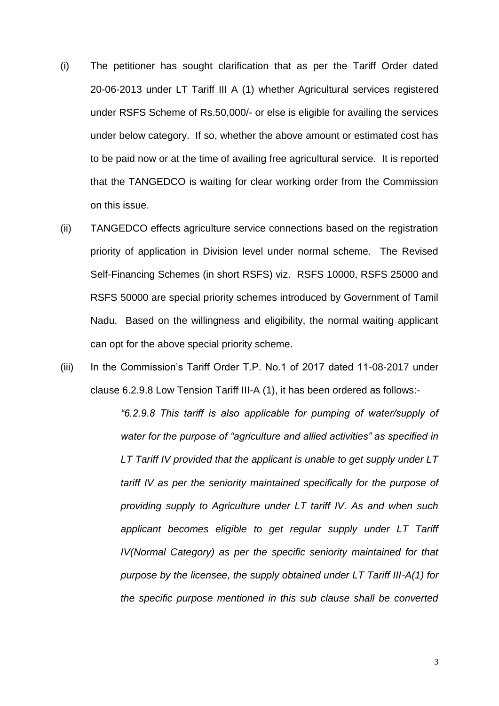- (i) The petitioner has sought clarification that as per the Tariff Order dated 20-06-2013 under LT Tariff III A (1) whether Agricultural services registered under RSFS Scheme of Rs.50,000/- or else is eligible for availing the services under below category. If so, whether the above amount or estimated cost has to be paid now or at the time of availing free agricultural service. It is reported that the TANGEDCO is waiting for clear working order from the Commission on this issue.
- (ii) TANGEDCO effects agriculture service connections based on the registration priority of application in Division level under normal scheme. The Revised Self-Financing Schemes (in short RSFS) viz. RSFS 10000, RSFS 25000 and RSFS 50000 are special priority schemes introduced by Government of Tamil Nadu. Based on the willingness and eligibility, the normal waiting applicant can opt for the above special priority scheme.
- (iii) In the Commission's Tariff Order T.P. No.1 of 2017 dated 11-08-2017 under clause 6.2.9.8 Low Tension Tariff III-A (1), it has been ordered as follows:-

*"6.2.9.8 This tariff is also applicable for pumping of water/supply of water for the purpose of "agriculture and allied activities" as specified in LT Tariff IV provided that the applicant is unable to get supply under LT tariff IV as per the seniority maintained specifically for the purpose of providing supply to Agriculture under LT tariff IV. As and when such applicant becomes eligible to get regular supply under LT Tariff IV(Normal Category) as per the specific seniority maintained for that purpose by the licensee, the supply obtained under LT Tariff III-A(1) for the specific purpose mentioned in this sub clause shall be converted*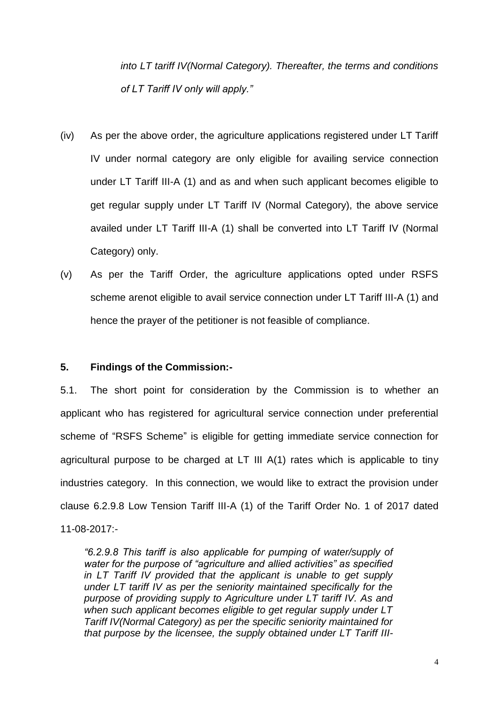*into LT tariff IV(Normal Category). Thereafter, the terms and conditions of LT Tariff IV only will apply."* 

- (iv) As per the above order, the agriculture applications registered under LT Tariff IV under normal category are only eligible for availing service connection under LT Tariff III-A (1) and as and when such applicant becomes eligible to get regular supply under LT Tariff IV (Normal Category), the above service availed under LT Tariff III-A (1) shall be converted into LT Tariff IV (Normal Category) only.
- (v) As per the Tariff Order, the agriculture applications opted under RSFS scheme arenot eligible to avail service connection under LT Tariff III-A (1) and hence the prayer of the petitioner is not feasible of compliance.

### **5. Findings of the Commission:-**

5.1. The short point for consideration by the Commission is to whether an applicant who has registered for agricultural service connection under preferential scheme of "RSFS Scheme" is eligible for getting immediate service connection for agricultural purpose to be charged at LT III A(1) rates which is applicable to tiny industries category. In this connection, we would like to extract the provision under clause 6.2.9.8 Low Tension Tariff III-A (1) of the Tariff Order No. 1 of 2017 dated 11-08-2017:-

*"6.2.9.8 This tariff is also applicable for pumping of water/supply of water for the purpose of "agriculture and allied activities" as specified in LT Tariff IV provided that the applicant is unable to get supply under LT tariff IV as per the seniority maintained specifically for the purpose of providing supply to Agriculture under LT tariff IV. As and when such applicant becomes eligible to get regular supply under LT Tariff IV(Normal Category) as per the specific seniority maintained for that purpose by the licensee, the supply obtained under LT Tariff III-*